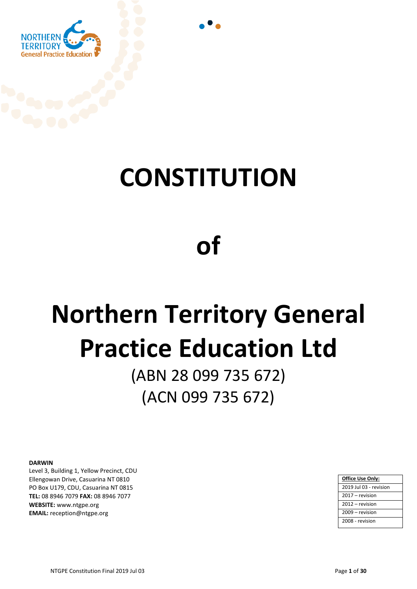

## **CONSTITUTION**

## **of**

# **Northern Territory General Practice Education Ltd**

(ABN 28 099 735 672) (ACN 099 735 672)

#### **DARWIN**

Level 3, Building 1, Yellow Precinct, CDU **Ellengowan Drive, Casuarina NT 0810** PO Box U179, CDU, Casuarina NT 0815 TEL: 08 8946 7079 FAX: 08 8946 7077 **WEBSITE:** www.ntgpe.org **EMAIL:** reception@ntgpe.org

| Office Use Only:       |
|------------------------|
| 2019 Jul 03 - revision |
| 2017 – revision        |
| 2012 – revision        |
| 2009 - revision        |
| 2008 - revision        |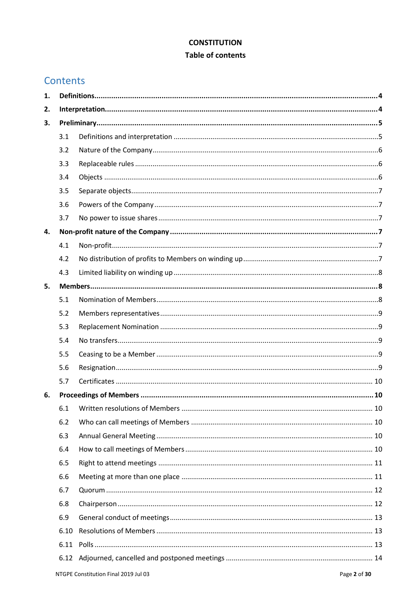#### **CONSTITUTION**

#### **Table of contents**

## Contents

| 1. |      |  |  |  |  |
|----|------|--|--|--|--|
| 2. |      |  |  |  |  |
| 3. |      |  |  |  |  |
|    | 3.1  |  |  |  |  |
|    | 3.2  |  |  |  |  |
|    | 3.3  |  |  |  |  |
|    | 3.4  |  |  |  |  |
|    | 3.5  |  |  |  |  |
|    | 3.6  |  |  |  |  |
|    | 3.7  |  |  |  |  |
| 4. |      |  |  |  |  |
|    | 4.1  |  |  |  |  |
|    | 4.2  |  |  |  |  |
|    | 4.3  |  |  |  |  |
| 5. |      |  |  |  |  |
|    | 5.1  |  |  |  |  |
|    | 5.2  |  |  |  |  |
|    | 5.3  |  |  |  |  |
|    | 5.4  |  |  |  |  |
|    | 5.5  |  |  |  |  |
|    | 5.6  |  |  |  |  |
|    | 5.7  |  |  |  |  |
| 6. |      |  |  |  |  |
|    | 6.1  |  |  |  |  |
|    | 6.2  |  |  |  |  |
|    | 6.3  |  |  |  |  |
|    | 6.4  |  |  |  |  |
|    | 6.5  |  |  |  |  |
|    | 6.6  |  |  |  |  |
|    | 6.7  |  |  |  |  |
|    | 6.8  |  |  |  |  |
|    | 6.9  |  |  |  |  |
|    | 6.10 |  |  |  |  |
|    | 6.11 |  |  |  |  |
|    |      |  |  |  |  |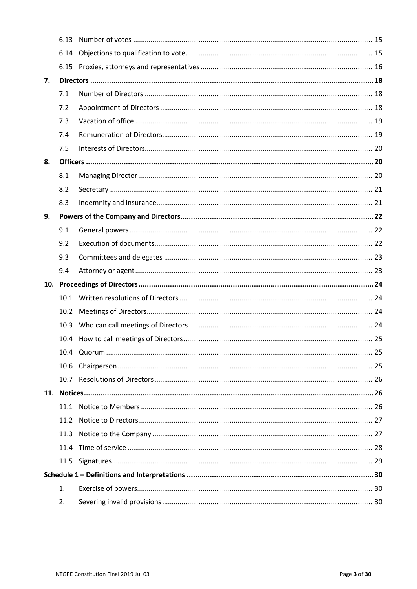|    | 6.13 |  |  |  |  |
|----|------|--|--|--|--|
|    | 6.14 |  |  |  |  |
|    |      |  |  |  |  |
| 7. |      |  |  |  |  |
|    | 7.1  |  |  |  |  |
|    | 7.2  |  |  |  |  |
|    | 7.3  |  |  |  |  |
|    | 7.4  |  |  |  |  |
|    | 7.5  |  |  |  |  |
| 8. |      |  |  |  |  |
|    | 8.1  |  |  |  |  |
|    | 8.2  |  |  |  |  |
|    | 8.3  |  |  |  |  |
| 9. |      |  |  |  |  |
|    | 9.1  |  |  |  |  |
|    | 9.2  |  |  |  |  |
|    | 9.3  |  |  |  |  |
|    | 9.4  |  |  |  |  |
|    |      |  |  |  |  |
|    | 10.1 |  |  |  |  |
|    | 10.2 |  |  |  |  |
|    | 10.3 |  |  |  |  |
|    |      |  |  |  |  |
|    |      |  |  |  |  |
|    | 10.6 |  |  |  |  |
|    |      |  |  |  |  |
|    |      |  |  |  |  |
|    |      |  |  |  |  |
|    | 11.2 |  |  |  |  |
|    | 11.3 |  |  |  |  |
|    | 11.4 |  |  |  |  |
|    |      |  |  |  |  |
|    |      |  |  |  |  |
|    | 1.   |  |  |  |  |
|    | 2.   |  |  |  |  |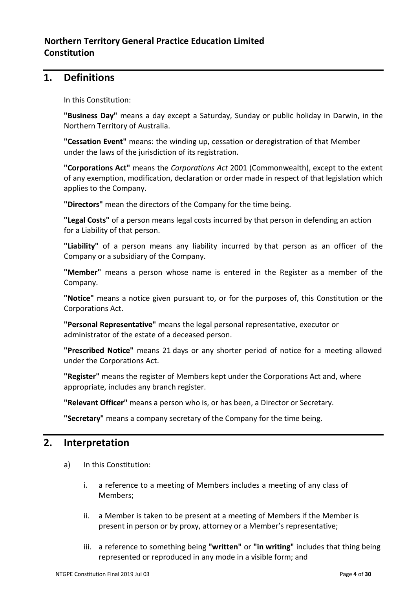## <span id="page-3-0"></span>**1. Definitions**

In this Constitution:

**"Business Day"** means a day except a Saturday, Sunday or public holiday in Darwin, in the Northern Territory of Australia.

**"Cessation Event"** means: the winding up, cessation or deregistration of that Member under the laws of the jurisdiction of its registration.

**"Corporations Act"** means the *Corporations Act* 2001 (Commonwealth), except to the extent of any exemption, modification, declaration or order made in respect of that legislation which applies to the Company.

**"Directors"** mean the directors of the Company for the time being.

**"Legal Costs"** of a person means legal costs incurred by that person in defending an action for a Liability of that person.

**"Liability"** of a person means any liability incurred by that person as an officer of the Company or a subsidiary of the Company.

**"Member"** means a person whose name is entered in the Register as a member of the Company.

**"Notice"** means a notice given pursuant to, or for the purposes of, this Constitution or the Corporations Act.

**"Personal Representative"** means the legal personal representative, executor or administrator of the estate of a deceased person.

**"Prescribed Notice"** means 21 days or any shorter period of notice for a meeting allowed under the Corporations Act.

**"Register"** means the register of Members kept under the Corporations Act and, where appropriate, includes any branch register.

**"Relevant Officer"** means a person who is, or has been, a Director or Secretary.

**"Secretary"** means a company secretary of the Company for the time being.

## <span id="page-3-1"></span>**2. Interpretation**

- a) In this Constitution:
	- i. a reference to a meeting of Members includes a meeting of any class of Members;
	- ii. a Member is taken to be present at a meeting of Members if the Member is present in person or by proxy, attorney or a Member's representative;
	- iii. a reference to something being **"written"** or **"in writing"** includes that thing being represented or reproduced in any mode in a visible form; and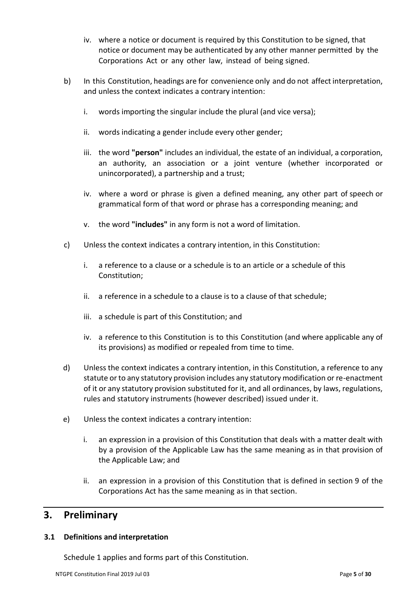- iv. where a notice or document is required by this Constitution to be signed, that notice or document may be authenticated by any other manner permitted by the Corporations Act or any other law, instead of being signed.
- b) In this Constitution, headings are for convenience only and do not affect interpretation, and unless the context indicates a contrary intention:
	- i. words importing the singular include the plural (and vice versa);
	- ii. words indicating a gender include every other gender;
	- iii. the word **"person"** includes an individual, the estate of an individual, a corporation, an authority, an association or a joint venture (whether incorporated or unincorporated), a partnership and a trust;
	- iv. where a word or phrase is given a defined meaning, any other part of speech or grammatical form of that word or phrase has a corresponding meaning; and
	- v. the word **"includes"** in any form is not a word of limitation.
- c) Unless the context indicates a contrary intention, in this Constitution:
	- i. a reference to a clause or a schedule is to an article or a schedule of this Constitution;
	- ii. a reference in a schedule to a clause is to a clause of that schedule;
	- iii. a schedule is part of this Constitution; and
	- iv. a reference to this Constitution is to this Constitution (and where applicable any of its provisions) as modified or repealed from time to time.
- d) Unless the context indicates a contrary intention, in this Constitution, a reference to any statute or to any statutory provision includes any statutory modification or re-enactment of it or any statutory provision substituted for it, and all ordinances, by laws, regulations, rules and statutory instruments (however described) issued under it.
- e) Unless the context indicates a contrary intention:
	- i. an expression in a provision of this Constitution that deals with a matter dealt with by a provision of the Applicable Law has the same meaning as in that provision of the Applicable Law; and
	- ii. an expression in a provision of this Constitution that is defined in section 9 of the Corporations Act has the same meaning as in that section.

## <span id="page-4-0"></span>**3. Preliminary**

#### <span id="page-4-1"></span>**3.1 Definitions and interpretation**

Schedule 1 applies and forms part of this Constitution.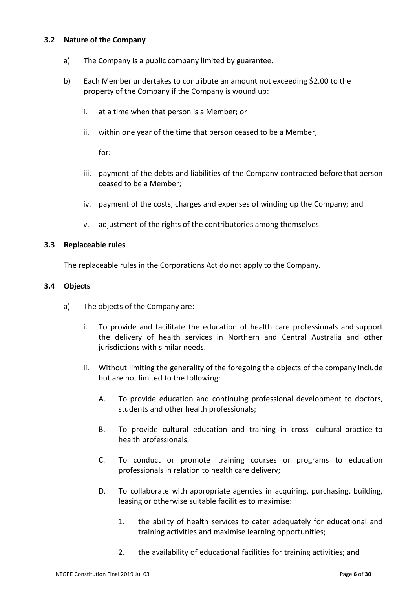#### <span id="page-5-0"></span>**3.2 Nature of the Company**

- a) The Company is a public company limited by guarantee.
- b) Each Member undertakes to contribute an amount not exceeding \$2.00 to the property of the Company if the Company is wound up:
	- i. at a time when that person is a Member; or
	- ii. within one year of the time that person ceased to be a Member,

for:

- iii. payment of the debts and liabilities of the Company contracted before that person ceased to be a Member;
- iv. payment of the costs, charges and expenses of winding up the Company; and
- v. adjustment of the rights of the contributories among themselves.

#### <span id="page-5-1"></span>**3.3 Replaceable rules**

The replaceable rules in the Corporations Act do not apply to the Company.

#### <span id="page-5-2"></span>**3.4 Objects**

- a) The objects of the Company are:
	- i. To provide and facilitate the education of health care professionals and support the delivery of health services in Northern and Central Australia and other jurisdictions with similar needs.
	- ii. Without limiting the generality of the foregoing the objects of the company include but are not limited to the following:
		- A. To provide education and continuing professional development to doctors, students and other health professionals;
		- B. To provide cultural education and training in cross- cultural practice to health professionals;
		- C. To conduct or promote training courses or programs to education professionals in relation to health care delivery;
		- D. To collaborate with appropriate agencies in acquiring, purchasing, building, leasing or otherwise suitable facilities to maximise:
			- 1. the ability of health services to cater adequately for educational and training activities and maximise learning opportunities;
			- 2. the availability of educational facilities for training activities; and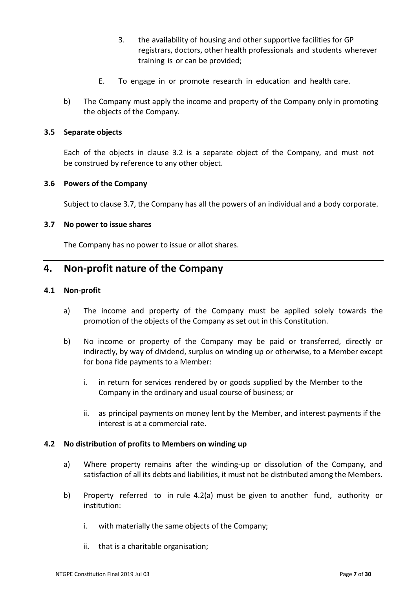- 3. the availability of housing and other supportive facilities for GP registrars, doctors, other health professionals and students wherever training is or can be provided;
- E. To engage in or promote research in education and health care.
- b) The Company must apply the income and property of the Company only in promoting the objects of the Company.

#### <span id="page-6-0"></span>**3.5 Separate objects**

Each of the objects in clause 3.2 is a separate object of the Company, and must not be construed by reference to any other object.

#### <span id="page-6-1"></span>**3.6 Powers of the Company**

Subject to clause 3.7, the Company has all the powers of an individual and a body corporate.

#### <span id="page-6-2"></span>**3.7 No power to issue shares**

The Company has no power to issue or allot shares.

## <span id="page-6-3"></span>**4. Non-profit nature of the Company**

#### <span id="page-6-4"></span>**4.1 Non-profit**

- a) The income and property of the Company must be applied solely towards the promotion of the objects of the Company as set out in this Constitution.
- b) No income or property of the Company may be paid or transferred, directly or indirectly, by way of dividend, surplus on winding up or otherwise, to a Member except for bona fide payments to a Member:
	- i. in return for services rendered by or goods supplied by the Member to the Company in the ordinary and usual course of business; or
	- ii. as principal payments on money lent by the Member, and interest payments if the interest is at a commercial rate.

#### <span id="page-6-5"></span>**4.2 No distribution of profits to Members on winding up**

- a) Where property remains after the winding-up or dissolution of the Company, and satisfaction of all its debts and liabilities, it must not be distributed among the Members.
- b) Property referred to in rule 4.2(a) must be given to another fund, authority or institution:
	- i. with materially the same objects of the Company;
	- ii. that is a charitable organisation;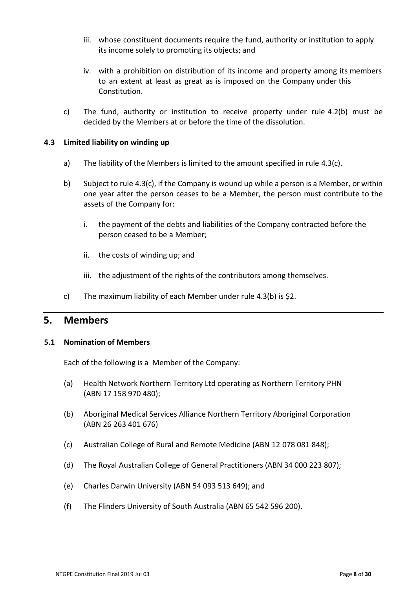- iii. whose constituent documents require the fund, authority or institution to apply its income solely to promoting its objects; and
- iv. with a prohibition on distribution of its income and property among its members to an extent at least as great as is imposed on the Company under this Constitution.
- c) The fund, authority or institution to receive property under rule 4.2(b) must be decided by the Members at or before the time of the dissolution.

#### <span id="page-7-0"></span>**4.3 Limited liability on winding up**

- a) The liability of the Members is limited to the amount specified in rule 4.3(c).
- b) Subject to rule 4.3(c), if the Company is wound up while a person is a Member, or within one year after the person ceases to be a Member, the person must contribute to the assets of the Company for:
	- i. the payment of the debts and liabilities of the Company contracted before the person ceased to be a Member;
	- ii. the costs of winding up; and
	- iii. the adjustment of the rights of the contributors among themselves.
- c) The maximum liability of each Member under rule 4.3(b) is \$2.

## <span id="page-7-1"></span>**5. Members**

#### <span id="page-7-2"></span>**5.1 Nomination of Members**

Each of the following is a Member of the Company:

- (a) Health Network Northern Territory Ltd operating as Northern Territory PHN (ABN 17 158 970 480);
- (b) Aboriginal Medical Services Alliance Northern Territory Aboriginal Corporation (ABN 26 263 401 676)
- (c) Australian College of Rural and Remote Medicine (ABN 12 078 081 848);
- (d) The Royal Australian College of General Practitioners (ABN 34 000 223 807);
- (e) Charles Darwin University (ABN 54 093 513 649); and
- (f) The Flinders University of South Australia (ABN 65 542 596 200).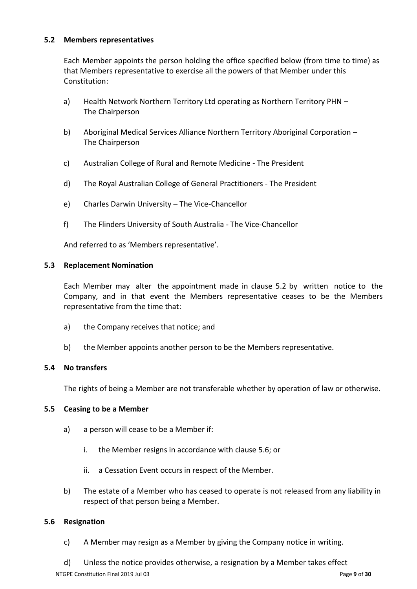#### <span id="page-8-0"></span>**5.2 Members representatives**

Each Member appoints the person holding the office specified below (from time to time) as that Members representative to exercise all the powers of that Member under this Constitution:

- a) Health Network Northern Territory Ltd operating as Northern Territory PHN The Chairperson
- b) Aboriginal Medical Services Alliance Northern Territory Aboriginal Corporation The Chairperson
- c) Australian College of Rural and Remote Medicine The President
- d) The Royal Australian College of General Practitioners The President
- e) Charles Darwin University The Vice-Chancellor
- f) The Flinders University of South Australia The Vice-Chancellor

And referred to as 'Members representative'.

#### <span id="page-8-1"></span>**5.3 Replacement Nomination**

Each Member may alter the appointment made in clause 5.2 by written notice to the Company, and in that event the Members representative ceases to be the Members representative from the time that:

- a) the Company receives that notice; and
- b) the Member appoints another person to be the Members representative.

#### <span id="page-8-2"></span>**5.4 No transfers**

The rights of being a Member are not transferable whether by operation of law or otherwise.

#### <span id="page-8-3"></span>**5.5 Ceasing to be a Member**

- a) a person will cease to be a Member if:
	- i. the Member resigns in accordance with clause 5.6; or
	- ii. a Cessation Event occurs in respect of the Member.
- b) The estate of a Member who has ceased to operate is not released from any liability in respect of that person being a Member.

#### <span id="page-8-4"></span>**5.6 Resignation**

- c) A Member may resign as a Member by giving the Company notice in writing.
- d) Unless the notice provides otherwise, a resignation by a Member takes effect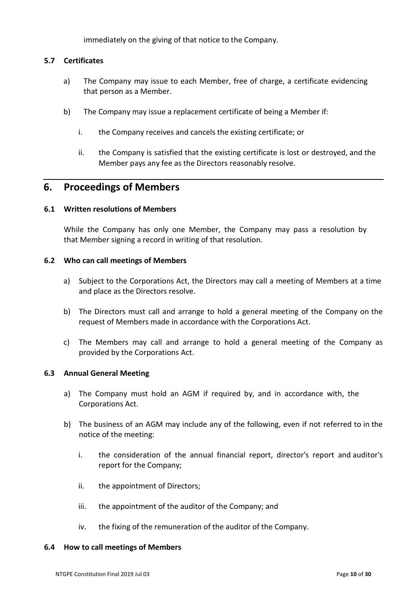immediately on the giving of that notice to the Company.

#### <span id="page-9-0"></span>**5.7 Certificates**

- a) The Company may issue to each Member, free of charge, a certificate evidencing that person as a Member.
- b) The Company may issue a replacement certificate of being a Member if:
	- i. the Company receives and cancels the existing certificate; or
	- ii. the Company is satisfied that the existing certificate is lost or destroyed, and the Member pays any fee as the Directors reasonably resolve.

### <span id="page-9-1"></span>**6. Proceedings of Members**

#### <span id="page-9-2"></span>**6.1 Written resolutions of Members**

While the Company has only one Member, the Company may pass a resolution by that Member signing a record in writing of that resolution.

#### <span id="page-9-3"></span>**6.2 Who can call meetings of Members**

- a) Subject to the Corporations Act, the Directors may call a meeting of Members at a time and place as the Directors resolve.
- b) The Directors must call and arrange to hold a general meeting of the Company on the request of Members made in accordance with the Corporations Act.
- c) The Members may call and arrange to hold a general meeting of the Company as provided by the Corporations Act.

#### <span id="page-9-4"></span>**6.3 Annual General Meeting**

- a) The Company must hold an AGM if required by, and in accordance with, the Corporations Act.
- b) The business of an AGM may include any of the following, even if not referred to in the notice of the meeting:
	- i. the consideration of the annual financial report, director's report and auditor's report for the Company;
	- ii. the appointment of Directors;
	- iii. the appointment of the auditor of the Company; and
	- iv. the fixing of the remuneration of the auditor of the Company.

#### <span id="page-9-5"></span>**6.4 How to call meetings of Members**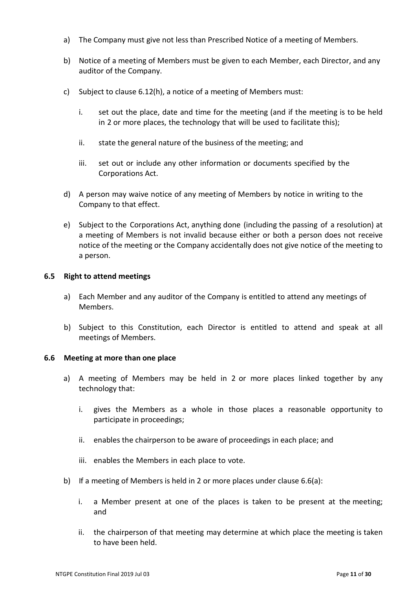- a) The Company must give not less than Prescribed Notice of a meeting of Members.
- b) Notice of a meeting of Members must be given to each Member, each Director, and any auditor of the Company.
- c) Subject to clause 6.12(h), a notice of a meeting of Members must:
	- i. set out the place, date and time for the meeting (and if the meeting is to be held in 2 or more places, the technology that will be used to facilitate this);
	- ii. state the general nature of the business of the meeting; and
	- iii. set out or include any other information or documents specified by the Corporations Act.
- d) A person may waive notice of any meeting of Members by notice in writing to the Company to that effect.
- e) Subject to the Corporations Act, anything done (including the passing of a resolution) at a meeting of Members is not invalid because either or both a person does not receive notice of the meeting or the Company accidentally does not give notice of the meeting to a person.

#### <span id="page-10-0"></span>**6.5 Right to attend meetings**

- a) Each Member and any auditor of the Company is entitled to attend any meetings of Members.
- b) Subject to this Constitution, each Director is entitled to attend and speak at all meetings of Members.

#### <span id="page-10-1"></span>**6.6 Meeting at more than one place**

- a) A meeting of Members may be held in 2 or more places linked together by any technology that:
	- i. gives the Members as a whole in those places a reasonable opportunity to participate in proceedings;
	- ii. enables the chairperson to be aware of proceedings in each place; and
	- iii. enables the Members in each place to vote.
- b) If a meeting of Members is held in 2 or more places under clause 6.6(a):
	- i. a Member present at one of the places is taken to be present at the meeting; and
	- ii. the chairperson of that meeting may determine at which place the meeting is taken to have been held.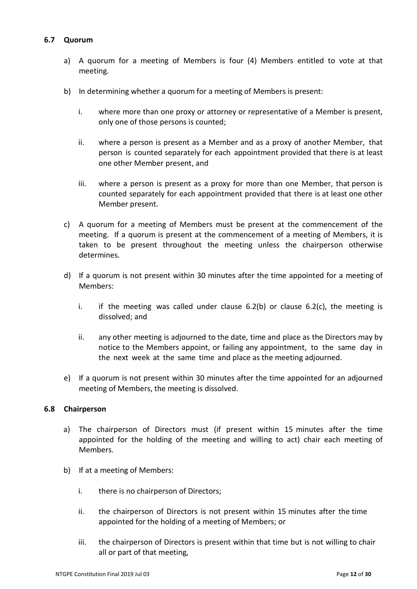#### <span id="page-11-0"></span>**6.7 Quorum**

- a) A quorum for a meeting of Members is four (4) Members entitled to vote at that meeting.
- b) In determining whether a quorum for a meeting of Members is present:
	- i. where more than one proxy or attorney or representative of a Member is present, only one of those persons is counted;
	- ii. where a person is present as a Member and as a proxy of another Member, that person is counted separately for each appointment provided that there is at least one other Member present, and
	- iii. where a person is present as a proxy for more than one Member, that person is counted separately for each appointment provided that there is at least one other Member present.
- c) A quorum for a meeting of Members must be present at the commencement of the meeting. If a quorum is present at the commencement of a meeting of Members, it is taken to be present throughout the meeting unless the chairperson otherwise determines.
- d) If a quorum is not present within 30 minutes after the time appointed for a meeting of Members:
	- i. if the meeting was called under clause  $6.2(b)$  or clause  $6.2(c)$ , the meeting is dissolved; and
	- ii. any other meeting is adjourned to the date, time and place as the Directors may by notice to the Members appoint, or failing any appointment, to the same day in the next week at the same time and place as the meeting adjourned.
- e) If a quorum is not present within 30 minutes after the time appointed for an adjourned meeting of Members, the meeting is dissolved.

#### <span id="page-11-1"></span>**6.8 Chairperson**

- a) The chairperson of Directors must (if present within 15 minutes after the time appointed for the holding of the meeting and willing to act) chair each meeting of Members.
- b) If at a meeting of Members:
	- i. there is no chairperson of Directors;
	- ii. the chairperson of Directors is not present within 15 minutes after the time appointed for the holding of a meeting of Members; or
	- iii. the chairperson of Directors is present within that time but is not willing to chair all or part of that meeting,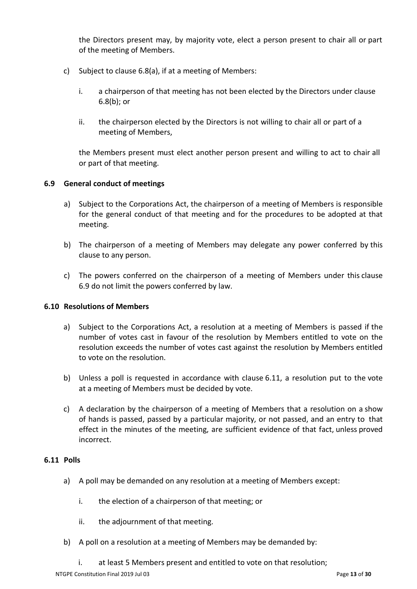the Directors present may, by majority vote, elect a person present to chair all or part of the meeting of Members.

- c) Subject to clause 6.8(a), if at a meeting of Members:
	- i. a chairperson of that meeting has not been elected by the Directors under clause 6.8(b); or
	- ii. the chairperson elected by the Directors is not willing to chair all or part of a meeting of Members,

the Members present must elect another person present and willing to act to chair all or part of that meeting.

#### <span id="page-12-0"></span>**6.9 General conduct of meetings**

- a) Subject to the Corporations Act, the chairperson of a meeting of Members is responsible for the general conduct of that meeting and for the procedures to be adopted at that meeting.
- b) The chairperson of a meeting of Members may delegate any power conferred by this clause to any person.
- c) The powers conferred on the chairperson of a meeting of Members under this clause 6.9 do not limit the powers conferred by law.

#### <span id="page-12-1"></span>**6.10 Resolutions of Members**

- a) Subject to the Corporations Act, a resolution at a meeting of Members is passed if the number of votes cast in favour of the resolution by Members entitled to vote on the resolution exceeds the number of votes cast against the resolution by Members entitled to vote on the resolution.
- b) Unless a poll is requested in accordance with clause 6.11, a resolution put to the vote at a meeting of Members must be decided by vote.
- c) A declaration by the chairperson of a meeting of Members that a resolution on a show of hands is passed, passed by a particular majority, or not passed, and an entry to that effect in the minutes of the meeting, are sufficient evidence of that fact, unless proved incorrect.

#### <span id="page-12-2"></span>**6.11 Polls**

- a) A poll may be demanded on any resolution at a meeting of Members except:
	- i. the election of a chairperson of that meeting; or
	- ii. the adjournment of that meeting.
- b) A poll on a resolution at a meeting of Members may be demanded by:
	- i. at least 5 Members present and entitled to vote on that resolution;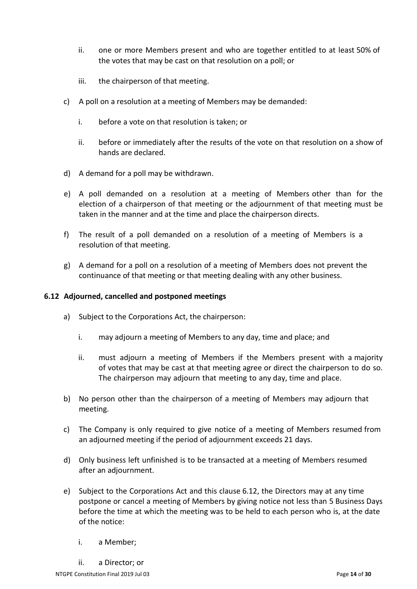- ii. one or more Members present and who are together entitled to at least 50% of the votes that may be cast on that resolution on a poll; or
- iii. the chairperson of that meeting.
- c) A poll on a resolution at a meeting of Members may be demanded:
	- i. before a vote on that resolution is taken; or
	- ii. before or immediately after the results of the vote on that resolution on a show of hands are declared.
- d) A demand for a poll may be withdrawn.
- e) A poll demanded on a resolution at a meeting of Members other than for the election of a chairperson of that meeting or the adjournment of that meeting must be taken in the manner and at the time and place the chairperson directs.
- f) The result of a poll demanded on a resolution of a meeting of Members is a resolution of that meeting.
- g) A demand for a poll on a resolution of a meeting of Members does not prevent the continuance of that meeting or that meeting dealing with any other business.

#### <span id="page-13-0"></span>**6.12 Adjourned, cancelled and postponed meetings**

- a) Subject to the Corporations Act, the chairperson:
	- i. may adjourn a meeting of Members to any day, time and place; and
	- ii. must adjourn a meeting of Members if the Members present with a majority of votes that may be cast at that meeting agree or direct the chairperson to do so. The chairperson may adjourn that meeting to any day, time and place.
- b) No person other than the chairperson of a meeting of Members may adjourn that meeting.
- c) The Company is only required to give notice of a meeting of Members resumed from an adjourned meeting if the period of adjournment exceeds 21 days.
- d) Only business left unfinished is to be transacted at a meeting of Members resumed after an adjournment.
- e) Subject to the Corporations Act and this clause 6.12, the Directors may at any time postpone or cancel a meeting of Members by giving notice not less than 5 Business Days before the time at which the meeting was to be held to each person who is, at the date of the notice:
	- i. a Member;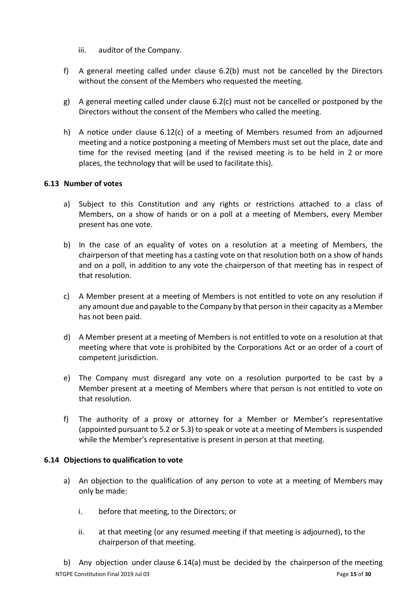- iii. auditor of the Company.
- f) A general meeting called under clause 6.2(b) must not be cancelled by the Directors without the consent of the Members who requested the meeting.
- g) A general meeting called under clause 6.2(c) must not be cancelled or postponed by the Directors without the consent of the Members who called the meeting.
- h) A notice under clause 6.12(c) of a meeting of Members resumed from an adjourned meeting and a notice postponing a meeting of Members must set out the place, date and time for the revised meeting (and if the revised meeting is to be held in 2 or more places, the technology that will be used to facilitate this).

#### <span id="page-14-0"></span>**6.13 Number of votes**

- a) Subject to this Constitution and any rights or restrictions attached to a class of Members, on a show of hands or on a poll at a meeting of Members, every Member present has one vote.
- b) In the case of an equality of votes on a resolution at a meeting of Members, the chairperson of that meeting has a casting vote on that resolution both on a show of hands and on a poll, in addition to any vote the chairperson of that meeting has in respect of that resolution.
- c) A Member present at a meeting of Members is not entitled to vote on any resolution if any amount due and payable to the Company by that person in their capacity as a Member has not been paid.
- d) A Member present at a meeting of Members is not entitled to vote on a resolution at that meeting where that vote is prohibited by the Corporations Act or an order of a court of competent jurisdiction.
- e) The Company must disregard any vote on a resolution purported to be cast by a Member present at a meeting of Members where that person is not entitled to vote on that resolution.
- f) The authority of a proxy or attorney for a Member or Member's representative (appointed pursuant to 5.2 or 5.3) to speak or vote at a meeting of Members is suspended while the Member's representative is present in person at that meeting.

#### <span id="page-14-1"></span>**6.14 Objections to qualification to vote**

- a) An objection to the qualification of any person to vote at a meeting of Members may only be made:
	- i. before that meeting, to the Directors; or
	- ii. at that meeting (or any resumed meeting if that meeting is adjourned), to the chairperson of that meeting.

NTGPE Constitution Final 2019 Jul 03 **Page 15** of **30** Page 15 of **30** b) Any objection under clause 6.14(a) must be decided by the chairperson of the meeting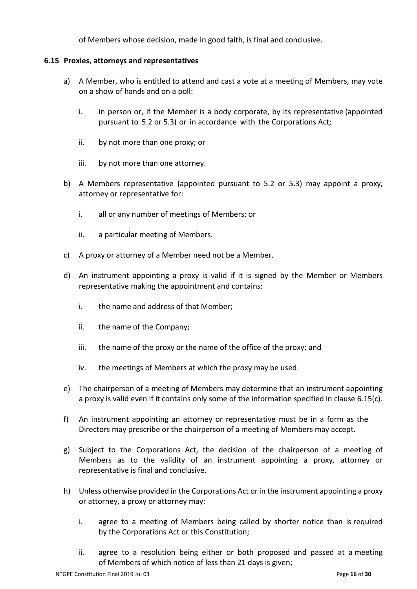of Members whose decision, made in good faith, is final and conclusive.

#### <span id="page-15-0"></span>**6.15 Proxies, attorneys and representatives**

- a) A Member, who is entitled to attend and cast a vote at a meeting of Members, may vote on a show of hands and on a poll:
	- i. in person or, if the Member is a body corporate, by its representative (appointed pursuant to 5.2 or 5.3) or in accordance with the Corporations Act;
	- ii. by not more than one proxy; or
	- iii. by not more than one attorney.
- b) A Members representative (appointed pursuant to 5.2 or 5.3) may appoint a proxy, attorney or representative for:
	- i. all or any number of meetings of Members; or
	- ii. a particular meeting of Members.
- c) A proxy or attorney of a Member need not be a Member.
- d) An instrument appointing a proxy is valid if it is signed by the Member or Members representative making the appointment and contains:
	- i. the name and address of that Member;
	- ii. the name of the Company;
	- iii. the name of the proxy or the name of the office of the proxy; and
	- iv. the meetings of Members at which the proxy may be used.
- e) The chairperson of a meeting of Members may determine that an instrument appointing a proxy is valid even if it contains only some of the information specified in clause 6.15(c).
- f) An instrument appointing an attorney or representative must be in a form as the Directors may prescribe or the chairperson of a meeting of Members may accept.
- g) Subject to the Corporations Act, the decision of the chairperson of a meeting of Members as to the validity of an instrument appointing a proxy, attorney or representative is final and conclusive.
- h) Unless otherwise provided in the Corporations Act or in the instrument appointing a proxy or attorney, a proxy or attorney may:
	- i. agree to a meeting of Members being called by shorter notice than is required by the Corporations Act or this Constitution;
	- ii. agree to a resolution being either or both proposed and passed at a meeting of Members of which notice of less than 21 days is given;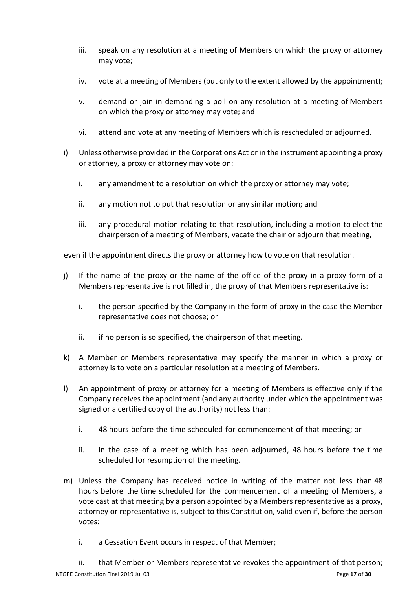- iii. speak on any resolution at a meeting of Members on which the proxy or attorney may vote;
- iv. vote at a meeting of Members (but only to the extent allowed by the appointment);
- v. demand or join in demanding a poll on any resolution at a meeting of Members on which the proxy or attorney may vote; and
- vi. attend and vote at any meeting of Members which is rescheduled or adjourned.
- i) Unless otherwise provided in the Corporations Act or in the instrument appointing a proxy or attorney, a proxy or attorney may vote on:
	- i. any amendment to a resolution on which the proxy or attorney may vote;
	- ii. any motion not to put that resolution or any similar motion; and
	- iii. any procedural motion relating to that resolution, including a motion to elect the chairperson of a meeting of Members, vacate the chair or adjourn that meeting,

even if the appointment directs the proxy or attorney how to vote on that resolution.

- j) If the name of the proxy or the name of the office of the proxy in a proxy form of a Members representative is not filled in, the proxy of that Members representative is:
	- i. the person specified by the Company in the form of proxy in the case the Member representative does not choose; or
	- ii. if no person is so specified, the chairperson of that meeting.
- k) A Member or Members representative may specify the manner in which a proxy or attorney is to vote on a particular resolution at a meeting of Members.
- l) An appointment of proxy or attorney for a meeting of Members is effective only if the Company receives the appointment (and any authority under which the appointment was signed or a certified copy of the authority) not less than:
	- i. 48 hours before the time scheduled for commencement of that meeting; or
	- ii. in the case of a meeting which has been adjourned, 48 hours before the time scheduled for resumption of the meeting.
- m) Unless the Company has received notice in writing of the matter not less than 48 hours before the time scheduled for the commencement of a meeting of Members, a vote cast at that meeting by a person appointed by a Members representative as a proxy, attorney or representative is, subject to this Constitution, valid even if, before the person votes:
	- i. a Cessation Event occurs in respect of that Member;
- ii. that Member or Members representative revokes the appointment of that person;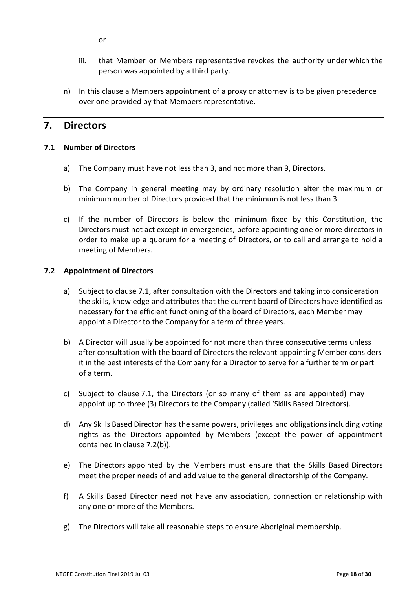or

- iii. that Member or Members representative revokes the authority under which the person was appointed by a third party.
- n) In this clause a Members appointment of a proxy or attorney is to be given precedence over one provided by that Members representative.

## <span id="page-17-0"></span>**7. Directors**

#### <span id="page-17-1"></span>**7.1 Number of Directors**

- a) The Company must have not less than 3, and not more than 9, Directors.
- b) The Company in general meeting may by ordinary resolution alter the maximum or minimum number of Directors provided that the minimum is not less than 3.
- c) If the number of Directors is below the minimum fixed by this Constitution, the Directors must not act except in emergencies, before appointing one or more directors in order to make up a quorum for a meeting of Directors, or to call and arrange to hold a meeting of Members.

#### <span id="page-17-2"></span>**7.2 Appointment of Directors**

- a) Subject to clause 7.1, after consultation with the Directors and taking into consideration the skills, knowledge and attributes that the current board of Directors have identified as necessary for the efficient functioning of the board of Directors, each Member may appoint a Director to the Company for a term of three years.
- b) A Director will usually be appointed for not more than three consecutive terms unless after consultation with the board of Directors the relevant appointing Member considers it in the best interests of the Company for a Director to serve for a further term or part of a term.
- c) Subject to clause 7.1, the Directors (or so many of them as are appointed) may appoint up to three (3) Directors to the Company (called 'Skills Based Directors).
- d) Any Skills Based Director has the same powers, privileges and obligations including voting rights as the Directors appointed by Members (except the power of appointment contained in clause 7.2(b)).
- e) The Directors appointed by the Members must ensure that the Skills Based Directors meet the proper needs of and add value to the general directorship of the Company.
- f) A Skills Based Director need not have any association, connection or relationship with any one or more of the Members.
- g) The Directors will take all reasonable steps to ensure Aboriginal membership.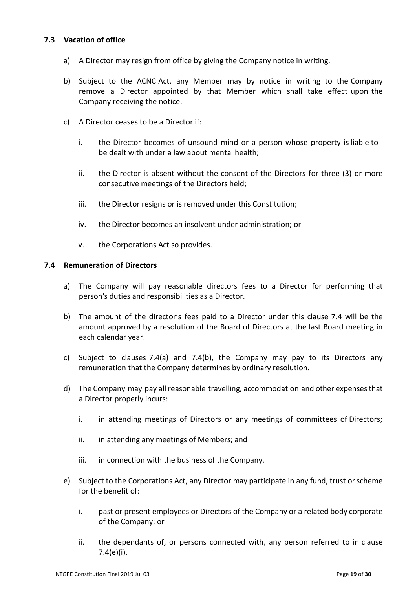#### <span id="page-18-0"></span>**7.3 Vacation of office**

- a) A Director may resign from office by giving the Company notice in writing.
- b) Subject to the ACNC Act, any Member may by notice in writing to the Company remove a Director appointed by that Member which shall take effect upon the Company receiving the notice.
- c) A Director ceases to be a Director if:
	- i. the Director becomes of unsound mind or a person whose property is liable to be dealt with under a law about mental health;
	- ii. the Director is absent without the consent of the Directors for three (3) or more consecutive meetings of the Directors held;
	- iii. the Director resigns or is removed under this Constitution;
	- iv. the Director becomes an insolvent under administration; or
	- v. the Corporations Act so provides.

#### <span id="page-18-1"></span>**7.4 Remuneration of Directors**

- a) The Company will pay reasonable directors fees to a Director for performing that person's duties and responsibilities as a Director.
- b) The amount of the director's fees paid to a Director under this clause 7.4 will be the amount approved by a resolution of the Board of Directors at the last Board meeting in each calendar year.
- c) Subject to clauses 7.4(a) and 7.4(b), the Company may pay to its Directors any remuneration that the Company determines by ordinary resolution.
- d) The Company may pay all reasonable travelling, accommodation and other expensesthat a Director properly incurs:
	- i. in attending meetings of Directors or any meetings of committees of Directors;
	- ii. in attending any meetings of Members; and
	- iii. in connection with the business of the Company.
- e) Subject to the Corporations Act, any Director may participate in any fund, trust or scheme for the benefit of:
	- i. past or present employees or Directors of the Company or a related body corporate of the Company; or
	- ii. the dependants of, or persons connected with, any person referred to in clause 7.4(e)(i).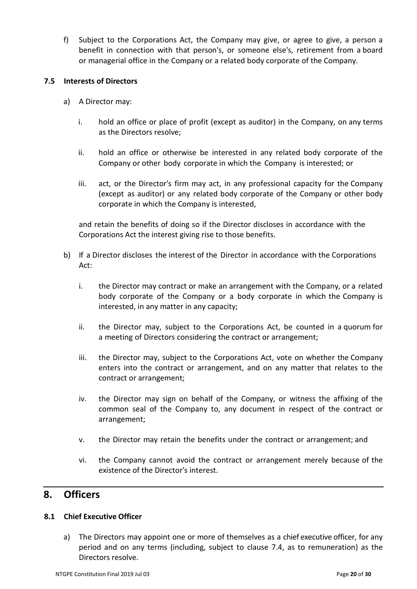f) Subject to the Corporations Act, the Company may give, or agree to give, a person a benefit in connection with that person's, or someone else's, retirement from a board or managerial office in the Company or a related body corporate of the Company.

#### <span id="page-19-0"></span>**7.5 Interests of Directors**

- a) A Director may:
	- i. hold an office or place of profit (except as auditor) in the Company, on any terms as the Directors resolve;
	- ii. hold an office or otherwise be interested in any related body corporate of the Company or other body corporate in which the Company is interested; or
	- iii. act, or the Director's firm may act, in any professional capacity for the Company (except as auditor) or any related body corporate of the Company or other body corporate in which the Company is interested,

and retain the benefits of doing so if the Director discloses in accordance with the Corporations Act the interest giving rise to those benefits.

- b) If a Director discloses the interest of the Director in accordance with the Corporations Act:
	- i. the Director may contract or make an arrangement with the Company, or a related body corporate of the Company or a body corporate in which the Company is interested, in any matter in any capacity;
	- ii. the Director may, subject to the Corporations Act, be counted in a quorum for a meeting of Directors considering the contract or arrangement;
	- iii. the Director may, subject to the Corporations Act, vote on whether the Company enters into the contract or arrangement, and on any matter that relates to the contract or arrangement;
	- iv. the Director may sign on behalf of the Company, or witness the affixing of the common seal of the Company to, any document in respect of the contract or arrangement;
	- v. the Director may retain the benefits under the contract or arrangement; and
	- vi. the Company cannot avoid the contract or arrangement merely because of the existence of the Director's interest.

## <span id="page-19-1"></span>**8. Officers**

#### <span id="page-19-2"></span>**8.1 Chief Executive Officer**

a) The Directors may appoint one or more of themselves as a chief executive officer, for any period and on any terms (including, subject to clause 7.4, as to remuneration) as the Directors resolve.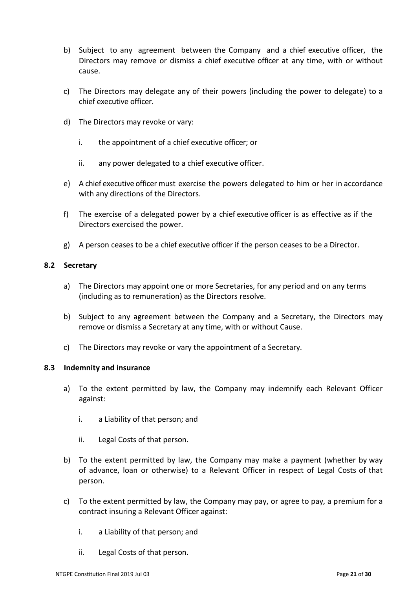- b) Subject to any agreement between the Company and a chief executive officer, the Directors may remove or dismiss a chief executive officer at any time, with or without cause.
- c) The Directors may delegate any of their powers (including the power to delegate) to a chief executive officer.
- d) The Directors may revoke or vary:
	- i. the appointment of a chief executive officer; or
	- ii. any power delegated to a chief executive officer.
- e) A chief executive officer must exercise the powers delegated to him or her in accordance with any directions of the Directors.
- f) The exercise of a delegated power by a chief executive officer is as effective as if the Directors exercised the power.
- g) A person ceases to be a chief executive officer if the person ceases to be a Director.

#### <span id="page-20-0"></span>**8.2 Secretary**

- a) The Directors may appoint one or more Secretaries, for any period and on any terms (including as to remuneration) as the Directors resolve.
- b) Subject to any agreement between the Company and a Secretary, the Directors may remove or dismiss a Secretary at any time, with or without Cause.
- c) The Directors may revoke or vary the appointment of a Secretary.

#### <span id="page-20-1"></span>**8.3 Indemnity and insurance**

- a) To the extent permitted by law, the Company may indemnify each Relevant Officer against:
	- i. a Liability of that person; and
	- ii. Legal Costs of that person.
- b) To the extent permitted by law, the Company may make a payment (whether by way of advance, loan or otherwise) to a Relevant Officer in respect of Legal Costs of that person.
- c) To the extent permitted by law, the Company may pay, or agree to pay, a premium for a contract insuring a Relevant Officer against:
	- i. a Liability of that person; and
	- ii. Legal Costs of that person.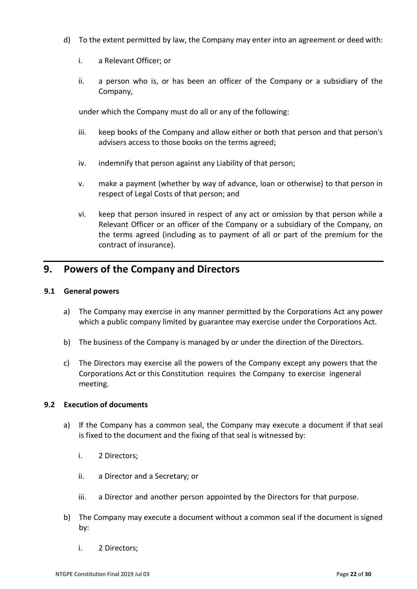- d) To the extent permitted by law, the Company may enter into an agreement or deed with:
	- i. a Relevant Officer; or
	- ii. a person who is, or has been an officer of the Company or a subsidiary of the Company,

under which the Company must do all or any of the following:

- iii. keep books of the Company and allow either or both that person and that person's advisers access to those books on the terms agreed;
- iv. indemnify that person against any Liability of that person;
- v. make a payment (whether by way of advance, loan or otherwise) to that person in respect of Legal Costs of that person; and
- vi. keep that person insured in respect of any act or omission by that person while a Relevant Officer or an officer of the Company or a subsidiary of the Company, on the terms agreed (including as to payment of all or part of the premium for the contract of insurance).

## <span id="page-21-0"></span>**9. Powers of the Company and Directors**

#### <span id="page-21-1"></span>**9.1 General powers**

- a) The Company may exercise in any manner permitted by the Corporations Act any power which a public company limited by guarantee may exercise under the Corporations Act.
- b) The business of the Company is managed by or under the direction of the Directors.
- c) The Directors may exercise all the powers of the Company except any powers that the Corporations Act or this Constitution requires the Company to exercise ingeneral meeting.

#### <span id="page-21-2"></span>**9.2 Execution of documents**

- a) If the Company has a common seal, the Company may execute a document if that seal is fixed to the document and the fixing of that seal is witnessed by:
	- i. 2 Directors;
	- ii. a Director and a Secretary; or
	- iii. a Director and another person appointed by the Directors for that purpose.
- b) The Company may execute a document without a common seal if the document is signed by:
	- i. 2 Directors;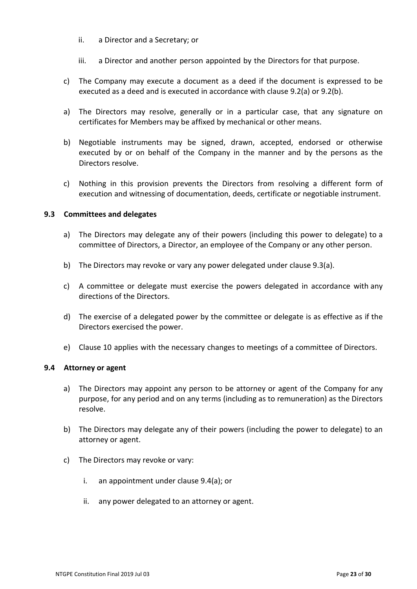- ii. a Director and a Secretary; or
- iii. a Director and another person appointed by the Directors for that purpose.
- c) The Company may execute a document as a deed if the document is expressed to be executed as a deed and is executed in accordance with clause 9.2(a) or 9.2(b).
- a) The Directors may resolve, generally or in a particular case, that any signature on certificates for Members may be affixed by mechanical or other means.
- b) Negotiable instruments may be signed, drawn, accepted, endorsed or otherwise executed by or on behalf of the Company in the manner and by the persons as the Directors resolve.
- c) Nothing in this provision prevents the Directors from resolving a different form of execution and witnessing of documentation, deeds, certificate or negotiable instrument.

#### <span id="page-22-0"></span>**9.3 Committees and delegates**

- a) The Directors may delegate any of their powers (including this power to delegate) to a committee of Directors, a Director, an employee of the Company or any other person.
- b) The Directors may revoke or vary any power delegated under clause 9.3(a).
- c) A committee or delegate must exercise the powers delegated in accordance with any directions of the Directors.
- d) The exercise of a delegated power by the committee or delegate is as effective as if the Directors exercised the power.
- e) Clause 10 applies with the necessary changes to meetings of a committee of Directors.

#### <span id="page-22-1"></span>**9.4 Attorney or agent**

- a) The Directors may appoint any person to be attorney or agent of the Company for any purpose, for any period and on any terms (including as to remuneration) as the Directors resolve.
- b) The Directors may delegate any of their powers (including the power to delegate) to an attorney or agent.
- c) The Directors may revoke or vary:
	- i. an appointment under clause 9.4(a); or
	- ii. any power delegated to an attorney or agent.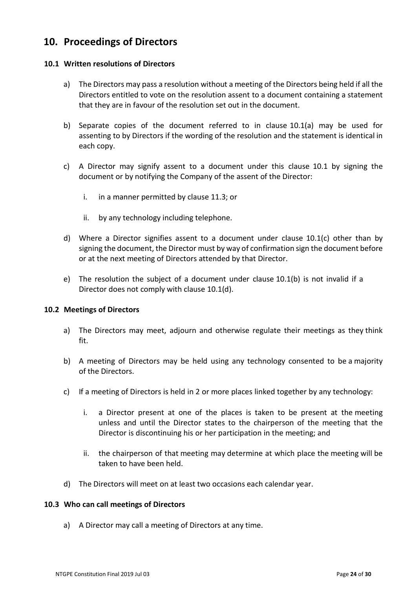## <span id="page-23-0"></span>**10. Proceedings of Directors**

#### <span id="page-23-1"></span>**10.1 Written resolutions of Directors**

- a) The Directors may pass a resolution without a meeting of the Directors being held if all the Directors entitled to vote on the resolution assent to a document containing a statement that they are in favour of the resolution set out in the document.
- b) Separate copies of the document referred to in clause 10.1(a) may be used for assenting to by Directors if the wording of the resolution and the statement is identical in each copy.
- c) A Director may signify assent to a document under this clause 10.1 by signing the document or by notifying the Company of the assent of the Director:
	- i. in a manner permitted by clause 11.3; or
	- ii. by any technology including telephone.
- d) Where a Director signifies assent to a document under clause 10.1(c) other than by signing the document, the Director must by way of confirmation sign the document before or at the next meeting of Directors attended by that Director.
- e) The resolution the subject of a document under clause 10.1(b) is not invalid if a Director does not comply with clause 10.1(d).

#### <span id="page-23-2"></span>**10.2 Meetings of Directors**

- a) The Directors may meet, adjourn and otherwise regulate their meetings as they think fit.
- b) A meeting of Directors may be held using any technology consented to be a majority of the Directors.
- c) If a meeting of Directors is held in 2 or more places linked together by any technology:
	- i. a Director present at one of the places is taken to be present at the meeting unless and until the Director states to the chairperson of the meeting that the Director is discontinuing his or her participation in the meeting; and
	- ii. the chairperson of that meeting may determine at which place the meeting will be taken to have been held.
- d) The Directors will meet on at least two occasions each calendar year.

#### <span id="page-23-3"></span>**10.3 Who can call meetings of Directors**

a) A Director may call a meeting of Directors at any time.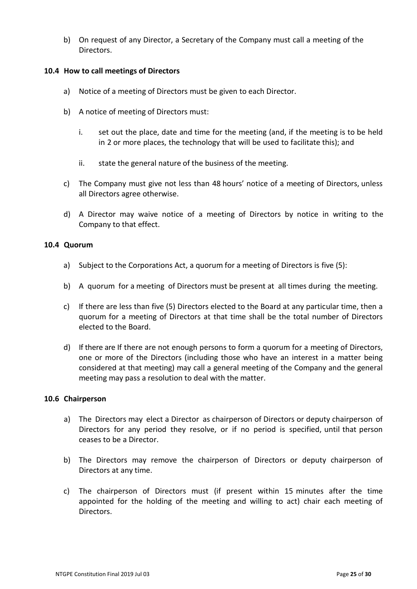b) On request of any Director, a Secretary of the Company must call a meeting of the Directors.

#### <span id="page-24-0"></span>**10.4 How to call meetings of Directors**

- a) Notice of a meeting of Directors must be given to each Director.
- b) A notice of meeting of Directors must:
	- i. set out the place, date and time for the meeting (and, if the meeting is to be held in 2 or more places, the technology that will be used to facilitate this); and
	- ii. state the general nature of the business of the meeting.
- c) The Company must give not less than 48 hours' notice of a meeting of Directors, unless all Directors agree otherwise.
- d) A Director may waive notice of a meeting of Directors by notice in writing to the Company to that effect.

#### <span id="page-24-1"></span>**10.4 Quorum**

- a) Subject to the Corporations Act, a quorum for a meeting of Directors is five (5):
- b) A quorum for a meeting of Directors must be present at all times during the meeting.
- c) If there are less than five (5) Directors elected to the Board at any particular time, then a quorum for a meeting of Directors at that time shall be the total number of Directors elected to the Board.
- d) If there are If there are not enough persons to form a quorum for a meeting of Directors, one or more of the Directors (including those who have an interest in a matter being considered at that meeting) may call a general meeting of the Company and the general meeting may pass a resolution to deal with the matter.

#### <span id="page-24-2"></span>**10.6 Chairperson**

- a) The Directors may elect a Director as chairperson of Directors or deputy chairperson of Directors for any period they resolve, or if no period is specified, until that person ceases to be a Director.
- b) The Directors may remove the chairperson of Directors or deputy chairperson of Directors at any time.
- c) The chairperson of Directors must (if present within 15 minutes after the time appointed for the holding of the meeting and willing to act) chair each meeting of Directors.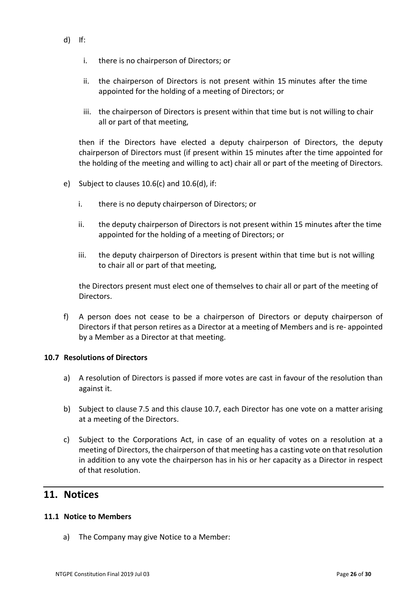- d) If:
	- i. there is no chairperson of Directors; or
	- ii. the chairperson of Directors is not present within 15 minutes after the time appointed for the holding of a meeting of Directors; or
	- iii. the chairperson of Directors is present within that time but is not willing to chair all or part of that meeting,

then if the Directors have elected a deputy chairperson of Directors, the deputy chairperson of Directors must (if present within 15 minutes after the time appointed for the holding of the meeting and willing to act) chair all or part of the meeting of Directors.

- e) Subject to clauses 10.6(c) and 10.6(d), if:
	- i. there is no deputy chairperson of Directors; or
	- ii. the deputy chairperson of Directors is not present within 15 minutes after the time appointed for the holding of a meeting of Directors; or
	- iii. the deputy chairperson of Directors is present within that time but is not willing to chair all or part of that meeting,

the Directors present must elect one of themselves to chair all or part of the meeting of Directors.

f) A person does not cease to be a chairperson of Directors or deputy chairperson of Directors if that person retires as a Director at a meeting of Members and is re- appointed by a Member as a Director at that meeting.

#### <span id="page-25-0"></span>**10.7 Resolutions of Directors**

- a) A resolution of Directors is passed if more votes are cast in favour of the resolution than against it.
- b) Subject to clause 7.5 and this clause 10.7, each Director has one vote on a matter arising at a meeting of the Directors.
- c) Subject to the Corporations Act, in case of an equality of votes on a resolution at a meeting of Directors, the chairperson of that meeting has a casting vote on that resolution in addition to any vote the chairperson has in his or her capacity as a Director in respect of that resolution.

## <span id="page-25-1"></span>**11. Notices**

#### <span id="page-25-2"></span>**11.1 Notice to Members**

a) The Company may give Notice to a Member: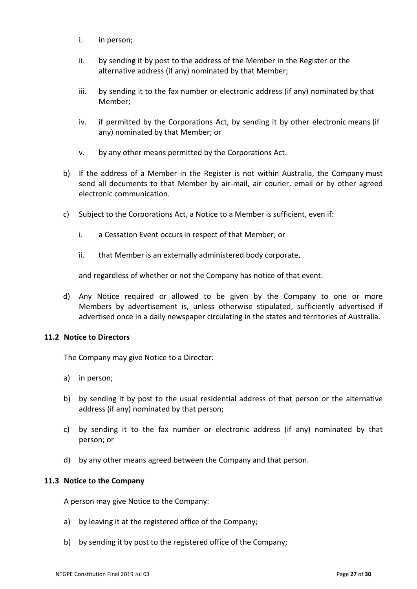- i. in person;
- ii. by sending it by post to the address of the Member in the Register or the alternative address (if any) nominated by that Member;
- iii. by sending it to the fax number or electronic address (if any) nominated by that Member;
- iv. if permitted by the Corporations Act, by sending it by other electronic means (if any) nominated by that Member; or
- v. by any other means permitted by the Corporations Act.
- b) If the address of a Member in the Register is not within Australia, the Company must send all documents to that Member by air-mail, air courier, email or by other agreed electronic communication.
- c) Subject to the Corporations Act, a Notice to a Member is sufficient, even if:
	- i. a Cessation Event occurs in respect of that Member; or
	- ii. that Member is an externally administered body corporate,

and regardless of whether or not the Company has notice of that event.

d) Any Notice required or allowed to be given by the Company to one or more Members by advertisement is, unless otherwise stipulated, sufficiently advertised if advertised once in a daily newspaper circulating in the states and territories of Australia.

#### <span id="page-26-0"></span>**11.2 Notice to Directors**

The Company may give Notice to a Director:

- a) in person;
- b) by sending it by post to the usual residential address of that person or the alternative address (if any) nominated by that person;
- c) by sending it to the fax number or electronic address (if any) nominated by that person; or
- d) by any other means agreed between the Company and that person.

#### <span id="page-26-1"></span>**11.3 Notice to the Company**

A person may give Notice to the Company:

- a) by leaving it at the registered office of the Company;
- b) by sending it by post to the registered office of the Company;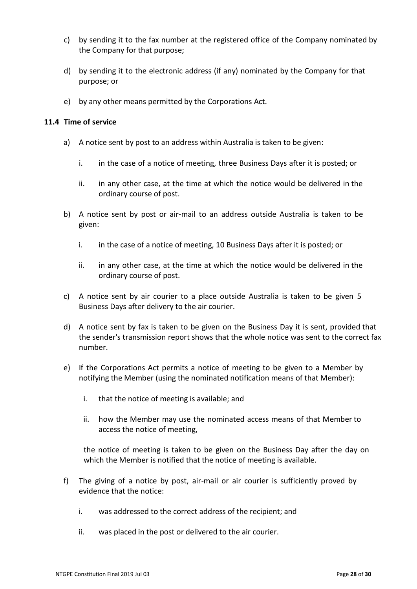- c) by sending it to the fax number at the registered office of the Company nominated by the Company for that purpose;
- d) by sending it to the electronic address (if any) nominated by the Company for that purpose; or
- e) by any other means permitted by the Corporations Act*.*

#### <span id="page-27-0"></span>**11.4 Time of service**

- a) A notice sent by post to an address within Australia is taken to be given:
	- i. in the case of a notice of meeting, three Business Days after it is posted; or
	- ii. in any other case, at the time at which the notice would be delivered in the ordinary course of post.
- b) A notice sent by post or air-mail to an address outside Australia is taken to be given:
	- i. in the case of a notice of meeting, 10 Business Days after it is posted; or
	- ii. in any other case, at the time at which the notice would be delivered in the ordinary course of post.
- c) A notice sent by air courier to a place outside Australia is taken to be given 5 Business Days after delivery to the air courier.
- d) A notice sent by fax is taken to be given on the Business Day it is sent, provided that the sender's transmission report shows that the whole notice was sent to the correct fax number.
- e) If the Corporations Act permits a notice of meeting to be given to a Member by notifying the Member (using the nominated notification means of that Member):
	- i. that the notice of meeting is available; and
	- ii. how the Member may use the nominated access means of that Member to access the notice of meeting,

the notice of meeting is taken to be given on the Business Day after the day on which the Member is notified that the notice of meeting is available.

- f) The giving of a notice by post, air-mail or air courier is sufficiently proved by evidence that the notice:
	- i. was addressed to the correct address of the recipient; and
	- ii. was placed in the post or delivered to the air courier.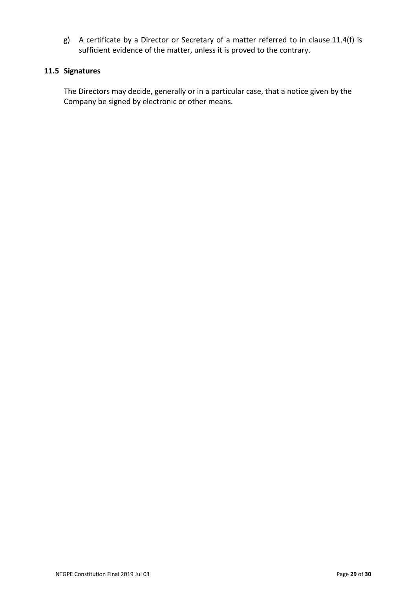g) A certificate by a Director or Secretary of a matter referred to in clause 11.4(f) is sufficient evidence of the matter, unless it is proved to the contrary.

### <span id="page-28-0"></span>**11.5 Signatures**

The Directors may decide, generally or in a particular case, that a notice given by the Company be signed by electronic or other means.